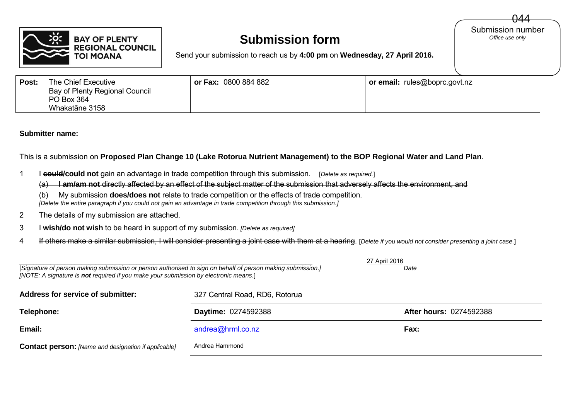

## **Submission form**

Submission number<br>Office use only 044

Send your submission to reach us by **4:00 pm** on **Wednesday, 27 April 2016.**

| Post: | The Chief Executive<br>Bay of Plenty Regional Council<br>PO Box 364 | or Fax: 0800 884 882 | or email: rules@boprc.govt.nz |  |
|-------|---------------------------------------------------------------------|----------------------|-------------------------------|--|
|       | Whakatāne 3158                                                      |                      |                               |  |

## **Submitter name:**

This is a submission on **Proposed Plan Change 10 (Lake Rotorua Nutrient Management) to the BOP Regional Water and Land Plan**.

1 I **could/could not** gain an advantage in trade competition through this submission. [*Delete as required.*]

(a) I am/am not directly affected by an effect of the subject matter of the submission that adversely affects the environment, and

(b) My submission **does/does not** relate to trade competition or the effects of trade competition.

 *[Delete the entire paragraph if you could not gain an advantage in trade competition through this submission.]*

- 2 The details of my submission are attached.
- 3 I **wish/do not wish** to be heard in support of my submission. *[Delete as required]*
- 4 If others make a similar submission, I will consider presenting a joint case with them at a hearing. [*Delete if you would not consider presenting a joint case.*]

| [Signature of person making submission or person authorised to sign on behalf of person making submission.]<br>[NOTE: A signature is not required if you make your submission by electronic means.] | 27 April 2016<br>Date          |                         |  |
|-----------------------------------------------------------------------------------------------------------------------------------------------------------------------------------------------------|--------------------------------|-------------------------|--|
| <b>Address for service of submitter:</b>                                                                                                                                                            | 327 Central Road, RD6, Rotorua |                         |  |
| Telephone:                                                                                                                                                                                          | Daytime: 0274592388            | After hours: 0274592388 |  |
| Email:                                                                                                                                                                                              | andrea@hrml.co.nz              | Fax:                    |  |
| <b>Contact person:</b> [Name and designation if applicable]                                                                                                                                         | Andrea Hammond                 |                         |  |